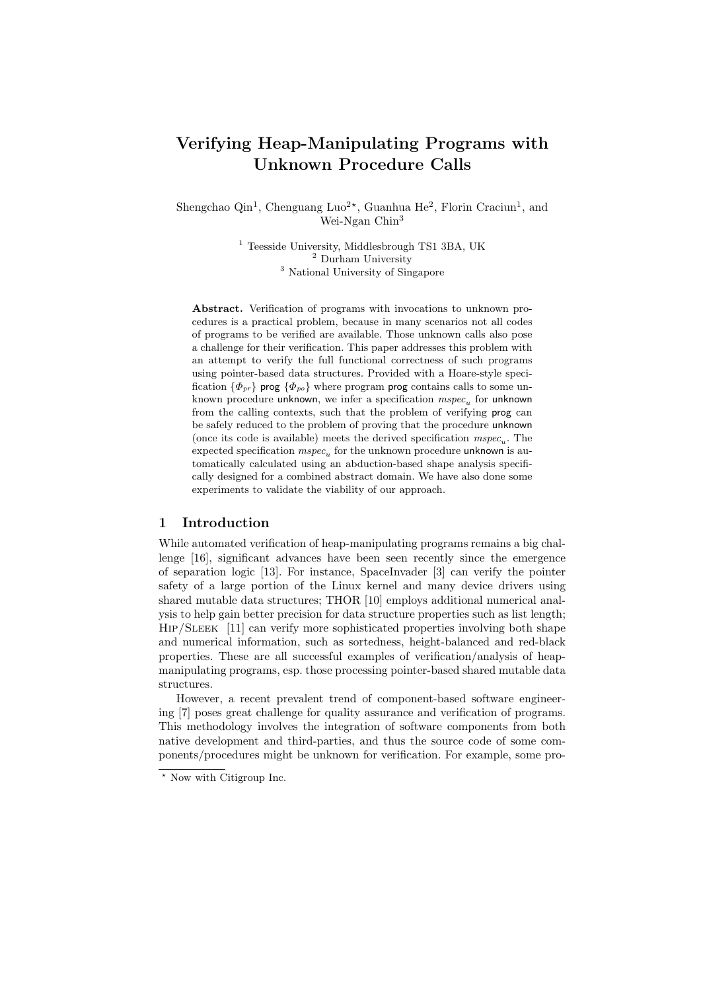# Verifying Heap-Manipulating Programs with Unknown Procedure Calls

Shengchao Qin<sup>1</sup>, Chenguang Luo<sup>2\*</sup>, Guanhua He<sup>2</sup>, Florin Craciun<sup>1</sup>, and Wei-Ngan Chin<sup>3</sup>

> $^1$  Teesside University, Middlesbrough TS1 3BA, UK <sup>2</sup> Durham University <sup>3</sup> National University of Singapore

Abstract. Verification of programs with invocations to unknown procedures is a practical problem, because in many scenarios not all codes of programs to be verified are available. Those unknown calls also pose a challenge for their verification. This paper addresses this problem with an attempt to verify the full functional correctness of such programs using pointer-based data structures. Provided with a Hoare-style specification  $\{\Phi_{pr}\}\$  prog  $\{\Phi_{po}\}\$  where program prog contains calls to some unknown procedure unknown, we infer a specification  $\mathit{mspec}_u$  for unknown from the calling contexts, such that the problem of verifying prog can be safely reduced to the problem of proving that the procedure unknown (once its code is available) meets the derived specification  $\mathit{mspec}_u$ . The expected specification  $\mathit{mspec}_u$  for the unknown procedure unknown is automatically calculated using an abduction-based shape analysis specifically designed for a combined abstract domain. We have also done some experiments to validate the viability of our approach.

# 1 Introduction

While automated verification of heap-manipulating programs remains a big challenge [16], significant advances have been seen recently since the emergence of separation logic [13]. For instance, SpaceInvader [3] can verify the pointer safety of a large portion of the Linux kernel and many device drivers using shared mutable data structures; THOR [10] employs additional numerical analysis to help gain better precision for data structure properties such as list length; Hip/Sleek [11] can verify more sophisticated properties involving both shape and numerical information, such as sortedness, height-balanced and red-black properties. These are all successful examples of verification/analysis of heapmanipulating programs, esp. those processing pointer-based shared mutable data structures.

However, a recent prevalent trend of component-based software engineering [7] poses great challenge for quality assurance and verification of programs. This methodology involves the integration of software components from both native development and third-parties, and thus the source code of some components/procedures might be unknown for verification. For example, some pro-

<sup>?</sup> Now with Citigroup Inc.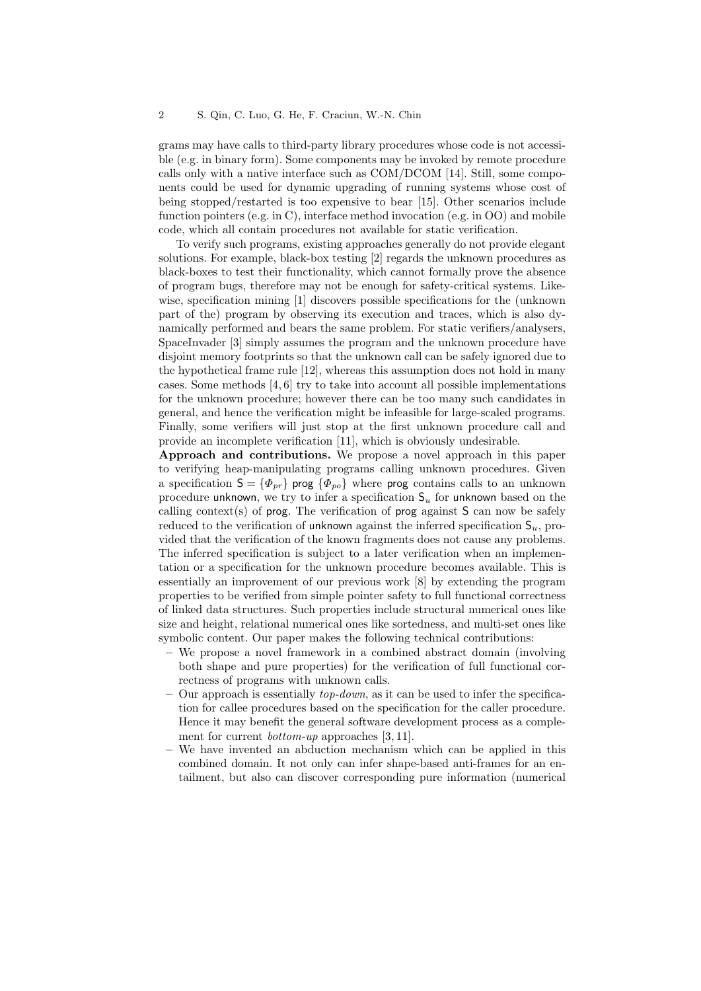grams may have calls to third-party library procedures whose code is not accessible (e.g. in binary form). Some components may be invoked by remote procedure calls only with a native interface such as COM/DCOM [14]. Still, some components could be used for dynamic upgrading of running systems whose cost of being stopped/restarted is too expensive to bear [15]. Other scenarios include function pointers (e.g. in C), interface method invocation (e.g. in OO) and mobile code, which all contain procedures not available for static verification.

To verify such programs, existing approaches generally do not provide elegant solutions. For example, black-box testing [2] regards the unknown procedures as black-boxes to test their functionality, which cannot formally prove the absence of program bugs, therefore may not be enough for safety-critical systems. Likewise, specification mining [1] discovers possible specifications for the (unknown part of the) program by observing its execution and traces, which is also dynamically performed and bears the same problem. For static verifiers/analysers, SpaceInvader [3] simply assumes the program and the unknown procedure have disjoint memory footprints so that the unknown call can be safely ignored due to the hypothetical frame rule [12], whereas this assumption does not hold in many cases. Some methods [4, 6] try to take into account all possible implementations for the unknown procedure; however there can be too many such candidates in general, and hence the verification might be infeasible for large-scaled programs. Finally, some verifiers will just stop at the first unknown procedure call and provide an incomplete verification [11], which is obviously undesirable.

Approach and contributions. We propose a novel approach in this paper to verifying heap-manipulating programs calling unknown procedures. Given a specification  $S = {\phi_{pr}}$  prog  ${\phi_{po}}$  where prog contains calls to an unknown procedure unknown, we try to infer a specification  $S_u$  for unknown based on the calling context(s) of **prog**. The verification of **prog** against  $S$  can now be safely reduced to the verification of unknown against the inferred specification  $S_u$ , provided that the verification of the known fragments does not cause any problems. The inferred specification is subject to a later verification when an implementation or a specification for the unknown procedure becomes available. This is essentially an improvement of our previous work [8] by extending the program properties to be verified from simple pointer safety to full functional correctness of linked data structures. Such properties include structural numerical ones like size and height, relational numerical ones like sortedness, and multi-set ones like symbolic content. Our paper makes the following technical contributions:

- We propose a novel framework in a combined abstract domain (involving both shape and pure properties) for the verification of full functional correctness of programs with unknown calls.
- Our approach is essentially  $top-down$ , as it can be used to infer the specification for callee procedures based on the specification for the caller procedure. Hence it may benefit the general software development process as a complement for current *bottom-up* approaches [3, 11].
- We have invented an abduction mechanism which can be applied in this combined domain. It not only can infer shape-based anti-frames for an entailment, but also can discover corresponding pure information (numerical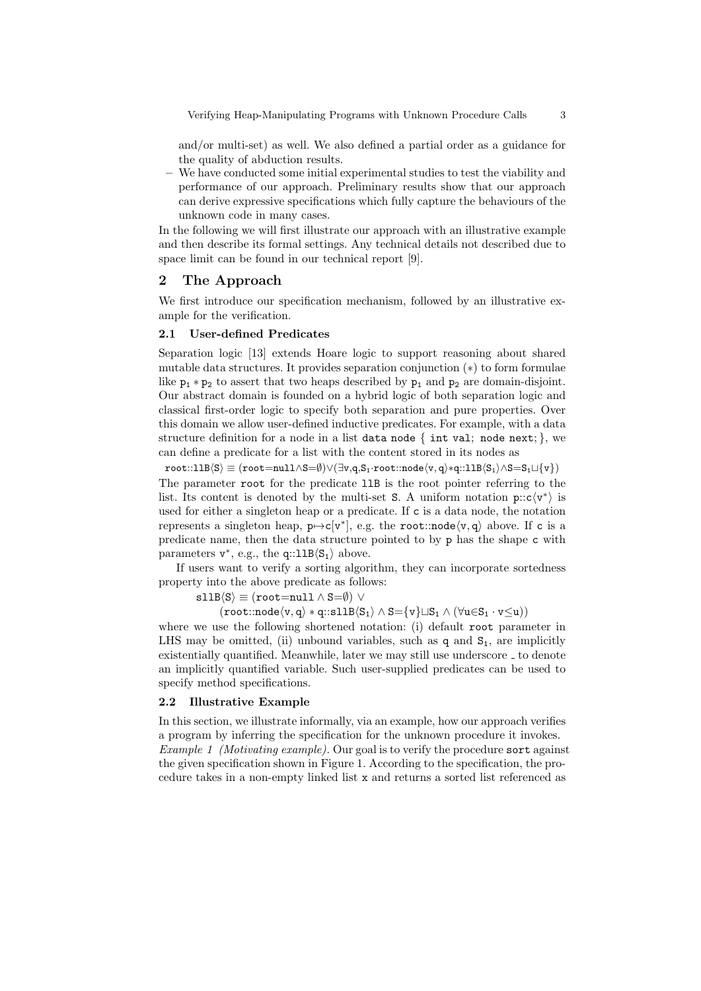and/or multi-set) as well. We also defined a partial order as a guidance for the quality of abduction results.

– We have conducted some initial experimental studies to test the viability and performance of our approach. Preliminary results show that our approach can derive expressive specifications which fully capture the behaviours of the unknown code in many cases.

In the following we will first illustrate our approach with an illustrative example and then describe its formal settings. Any technical details not described due to space limit can be found in our technical report [9].

## 2 The Approach

We first introduce our specification mechanism, followed by an illustrative example for the verification.

## 2.1 User-defined Predicates

Separation logic [13] extends Hoare logic to support reasoning about shared mutable data structures. It provides separation conjunction (∗) to form formulae like  $p_1 * p_2$  to assert that two heaps described by  $p_1$  and  $p_2$  are domain-disjoint. Our abstract domain is founded on a hybrid logic of both separation logic and classical first-order logic to specify both separation and pure properties. Over this domain we allow user-defined inductive predicates. For example, with a data structure definition for a node in a list data node  $\{$  int val; node next;  $\}$ , we can define a predicate for a list with the content stored in its nodes as

 $root::11B\langle S \rangle \equiv (root=null \land S=\emptyset) \lor (\exists v,q,S_1\cdot root::node\langle v,q \rangle *q::11B\langle S_1 \rangle \land S=S_1\sqcup \{v\})$ The parameter root for the predicate llB is the root pointer referring to the list. Its content is denoted by the multi-set S. A uniform notation  $p::c\langle v^*\rangle$  is used for either a singleton heap or a predicate. If c is a data node, the notation represents a singleton heap,  $p \mapsto c[v^*]$ , e.g. the root::node $\langle v, q \rangle$  above. If c is a predicate name, then the data structure pointed to by p has the shape c with parameters  $v^*$ , e.g., the q::11B $\langle S_1 \rangle$  above.

If users want to verify a sorting algorithm, they can incorporate sortedness property into the above predicate as follows:

 $s11B\langle S \rangle \equiv (root = null \wedge S = \emptyset) \vee$ 

 $(root::node\langle v, q \rangle * q::sllB\langle S_1 \rangle \wedge S = \{v\} \sqcup S_1 \wedge (\forall u \in S_1 \cdot v \leq u))$ 

where we use the following shortened notation: (i) default root parameter in LHS may be omitted, (ii) unbound variables, such as q and  $S_1$ , are implicitly existentially quantified. Meanwhile, later we may still use underscore  $\overline{\ }$  to denote an implicitly quantified variable. Such user-supplied predicates can be used to specify method specifications.

#### 2.2 Illustrative Example

In this section, we illustrate informally, via an example, how our approach verifies a program by inferring the specification for the unknown procedure it invokes. Example 1 (Motivating example). Our goal is to verify the procedure sort against the given specification shown in Figure 1. According to the specification, the procedure takes in a non-empty linked list x and returns a sorted list referenced as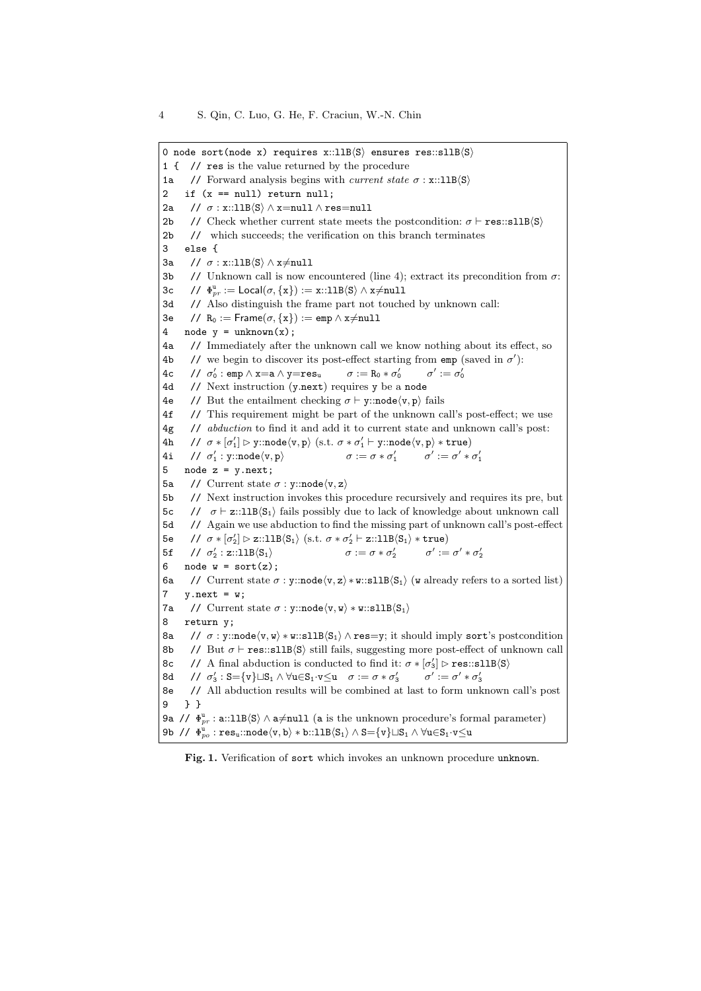```
0 node sort(node x) requires x::11B\langle S \rangle ensures res::sllB\langle S \rangle1 { // res is the value returned by the procedure
1a // Forward analysis begins with current state \sigma: x::11B\langle S \rangle2 if (x == null) return null;
2a // \sigma : x::11B\langle S \rangle \wedge x=null \wedge res=null2b // Check whether current state meets the postcondition: \sigma \vdash \mathtt{res}::\mathtt{sllB}\langle S \rangle2b // which succeeds; the verification on this branch terminates
3 else {
3a // \sigma : x::11B\langle S \rangle \wedge x \neq null3b // Unknown call is now encountered (line 4); extract its precondition from \sigma:
3c // \Phi_{pr}^u := \text{Local}(\sigma, \{x\}) := x::\text{llB}\langle S \rangle \wedge x \neq \text{null}3d // Also distinguish the frame part not touched by unknown call:
3e // R_0 := Frame(\sigma, \{x\}) := emp \wedge x \neq \text{null}4 node y =unknown(x);
4a // Immediately after the unknown call we know nothing about its effect, so
4b // we begin to discover its post-effect starting from emp (saved in \sigma'):
4c // \sigma'_0:emp\wedgex=a\wedgey=res<sub>u</sub> \sigma := R_0 * \sigma\sigma := \mathrm{R}_0 * \sigma'_0\sigma' := \sigma'_04d // Next instruction (y.next) requires y be a node
4e // But the entailment checking \sigma \vdash y : \text{node}\langle v, p \rangle fails
4f // This requirement might be part of the unknown call's post-effect; we use
4g // abduction to find it and add it to current state and unknown call's post:
4h // \sigma * [\sigma'_1] \rhd y: \text{node}\langle v, p \rangle \text{ (s.t. } \sigma * \sigma'_1 \vdash y: \text{node}\langle v, p \rangle * \text{true})\begin{array}{lll} \displaystyle{4\mathrm{i}} & \displaystyle{\not} \text{ /} \hspace{3mm} \sigma'_1 : \mathrm{y:mode} \langle \mathrm{v}, \mathrm{p} \rangle \hspace{2cm} \sigma := \sigma * \sigma \end{array}\sigma' := \sigma' * \sigma'_15 node z = y.next;5a // Current state σ : y::node\langle v, z \rangle5b // Next instruction invokes this procedure recursively and requires its pre, but
5c // \sigma \| z::11B\langle S_1 \rangle fails possibly due to lack of knowledge about unknown call
5d // Again we use abduction to find the missing part of unknown call's post-effect
5e \qquad // \sigma * [\sigma'_2] \rhd z::11B \langle S_1 \rangle \rangle (s.t. \sigma * \sigma'_2 \vdash z::11B \langle S_1 \rangle * true)5f // \sigma_2': \text{z::lll}(S_1) \sigma := \sigma * \sigma\sigma' := \sigma' * \sigma'_26 node w = sort(z);
6a // Current state \sigma: y::node\langle v, z \rangle * w::sllB\langle S_1 \rangle (w already refers to a sorted list)
      y.next = w;7a // Current state \sigma : y::node\langle v, w \rangle * w::sllB\langle S_1 \rangle8 return y;
8a // \sigma : y::node\langle v, w \rangle * w::s11B\langle S_1 \rangle \wedge res=y; it should imply sort's postcondition
8b // But \sigma \vdash \mathtt{res::sllB}\langle S \rangle still fails, suggesting more post-effect of unknown call
8c // A final abduction is conducted to find it: \sigma * [\sigma_3'] \triangleright \texttt{res}::\texttt{sllB} \langle S \rangle8d // \sigma'_3: S={v}\sqcupS<sub>1</sub> \land \forallu\inS<sub>1</sub>·v\lequ \sigma := \sigma * \sigma'_3\sigma' := \sigma' * \sigma_3'8e // All abduction results will be combined at last to form unknown call's post
9 } }
9a // \Phi_{pr}^u : \mathbf{a} :: \mathbf{1} \mathbf{1} \mathbf{B} \langle \mathbf{S} \rangle \wedge \mathbf{a} \neq \mathbf{n} \mathbf{u} \mathbf{1} \mathbf{1} (a is the unknown procedure's formal parameter)
9b // \Phi^{\rm u}_{po} : resu::node\langle{\rm v},{\rm b}\rangle\ast b::11B\langle{\rm S}_1\rangle\wedge{\rm S}{=}\{\rm v\}\sqcup{\rm S}_1\wedge\forall{\rm u}{\in}{\rm S}_1{\cdot}{\rm v}{\leq}u
```
Fig. 1. Verification of sort which invokes an unknown procedure unknown.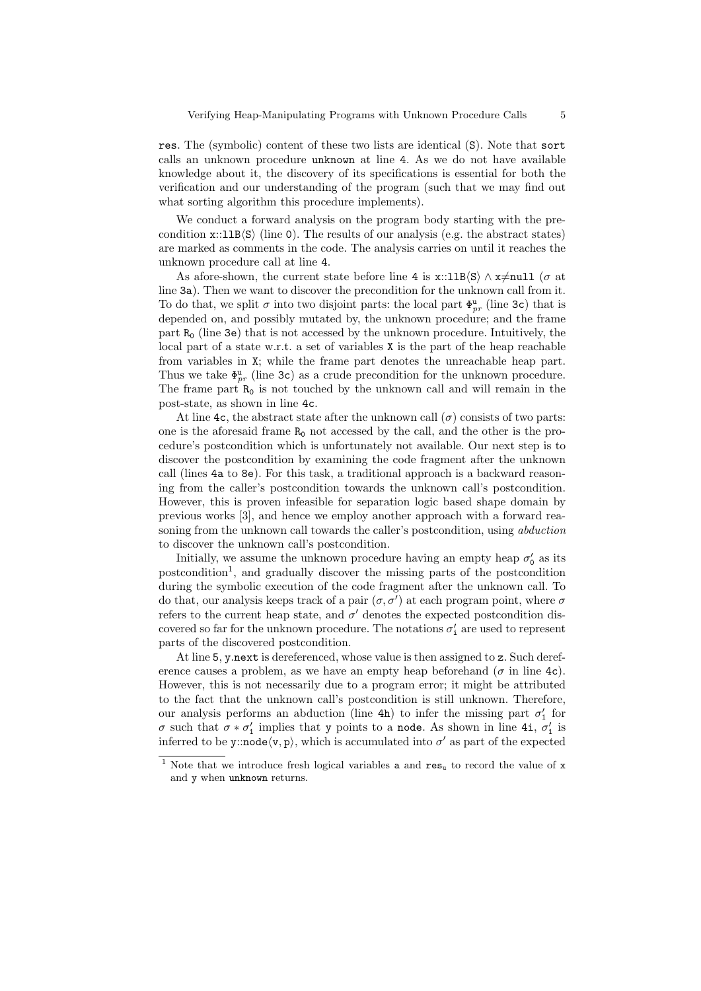res. The (symbolic) content of these two lists are identical (S). Note that sort calls an unknown procedure unknown at line 4. As we do not have available knowledge about it, the discovery of its specifications is essential for both the verification and our understanding of the program (such that we may find out what sorting algorithm this procedure implements).

We conduct a forward analysis on the program body starting with the precondition  $\mathbf{x}$ ::11B $\langle S \rangle$  (line 0). The results of our analysis (e.g. the abstract states) are marked as comments in the code. The analysis carries on until it reaches the unknown procedure call at line 4.

As afore-shown, the current state before line 4 is x::11B $\langle S \rangle \wedge x \neq null$  ( $\sigma$  at line 3a). Then we want to discover the precondition for the unknown call from it. To do that, we split  $\sigma$  into two disjoint parts: the local part  $\Phi_{pr}^u$  (line 3c) that is depended on, and possibly mutated by, the unknown procedure; and the frame part  $R_0$  (line 3e) that is not accessed by the unknown procedure. Intuitively, the local part of a state w.r.t. a set of variables X is the part of the heap reachable from variables in X; while the frame part denotes the unreachable heap part. Thus we take  $\Phi_{pr}^{\mathbf{u}}$  (line 3c) as a crude precondition for the unknown procedure. The frame part  $R_0$  is not touched by the unknown call and will remain in the post-state, as shown in line 4c.

At line 4c, the abstract state after the unknown call  $(\sigma)$  consists of two parts: one is the aforesaid frame  $R_0$  not accessed by the call, and the other is the procedure's postcondition which is unfortunately not available. Our next step is to discover the postcondition by examining the code fragment after the unknown call (lines 4a to 8e). For this task, a traditional approach is a backward reasoning from the caller's postcondition towards the unknown call's postcondition. However, this is proven infeasible for separation logic based shape domain by previous works [3], and hence we employ another approach with a forward reasoning from the unknown call towards the caller's postcondition, using *abduction* to discover the unknown call's postcondition.

Initially, we assume the unknown procedure having an empty heap  $\sigma_0'$  as its postcondition<sup>1</sup>, and gradually discover the missing parts of the postcondition during the symbolic execution of the code fragment after the unknown call. To do that, our analysis keeps track of a pair  $(\sigma, \sigma')$  at each program point, where  $\sigma$ refers to the current heap state, and  $\sigma'$  denotes the expected postcondition discovered so far for the unknown procedure. The notations  $\sigma'_{i}$  are used to represent parts of the discovered postcondition.

At line 5, y.next is dereferenced, whose value is then assigned to z. Such dereference causes a problem, as we have an empty heap beforehand ( $\sigma$  in line 4c). However, this is not necessarily due to a program error; it might be attributed to the fact that the unknown call's postcondition is still unknown. Therefore, our analysis performs an abduction (line 4h) to infer the missing part  $\sigma'_1$  for σ such that  $\sigma * \sigma'_1$  implies that y points to a node. As shown in line 4i,  $\sigma'_1$  is inferred to be y::node $\langle v, p \rangle$ , which is accumulated into  $\sigma'$  as part of the expected

<sup>&</sup>lt;sup>1</sup> Note that we introduce fresh logical variables **a** and  $res_u$  to record the value of **x** and y when unknown returns.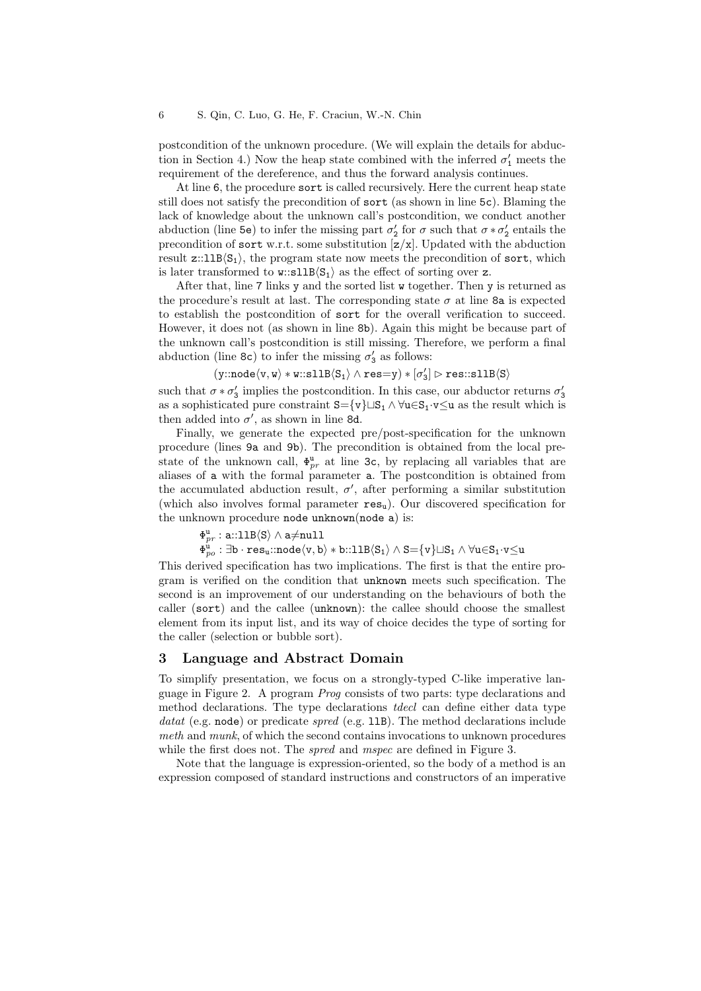postcondition of the unknown procedure. (We will explain the details for abduction in Section 4.) Now the heap state combined with the inferred  $\sigma'_1$  meets the requirement of the dereference, and thus the forward analysis continues.

At line 6, the procedure sort is called recursively. Here the current heap state still does not satisfy the precondition of sort (as shown in line 5c). Blaming the lack of knowledge about the unknown call's postcondition, we conduct another abduction (line 5e) to infer the missing part  $\sigma'_2$  for  $\sigma$  such that  $\sigma * \sigma'_2$  entails the precondition of sort w.r.t. some substitution [z/x]. Updated with the abduction result  $\mathbf{z}::11B\langle S_1\rangle$ , the program state now meets the precondition of sort, which is later transformed to w::sllB $\langle S_1 \rangle$  as the effect of sorting over z.

After that, line 7 links y and the sorted list w together. Then y is returned as the procedure's result at last. The corresponding state  $\sigma$  at line 8a is expected to establish the postcondition of sort for the overall verification to succeed. However, it does not (as shown in line 8b). Again this might be because part of the unknown call's postcondition is still missing. Therefore, we perform a final abduction (line  $\delta c$ ) to infer the missing  $\sigma'_{3}$  as follows:

 $(\texttt{y:node}\langle \texttt{v}, \texttt{w}\rangle * \texttt{w:} \texttt{sllB} \langle \texttt{S}_1 \rangle \land \texttt{res}{=} \texttt{y}) * [\sigma'_3] \vartriangleright \texttt{res::} \texttt{sllB} \langle \texttt{S} \rangle$ 

such that  $\sigma * \sigma'_3$  implies the postcondition. In this case, our abductor returns  $\sigma'_3$ as a sophisticated pure constraint  $S=\{v\}\sqcup S_1 \wedge \forall u \in S_1\cdot v \leq u$  as the result which is then added into  $\sigma'$ , as shown in line 8d.

Finally, we generate the expected pre/post-specification for the unknown procedure (lines 9a and 9b). The precondition is obtained from the local prestate of the unknown call,  $\Phi_{pr}^{\mathbf{u}}$  at line 3c, by replacing all variables that are aliases of a with the formal parameter a. The postcondition is obtained from the accumulated abduction result,  $\sigma'$ , after performing a similar substitution (which also involves formal parameter  $res_u$ ). Our discovered specification for the unknown procedure node unknown(node a) is:

 $\Phi_{pr}^{\mathtt{u}}$  : a::11B $\langle \mathtt{S}\rangle \wedge \mathtt{a} \neq$ null

 $\Phi_{po}^{\mathrm{u}}: \exists \mathtt{b}\cdot\mathtt{res}_\mathtt{u}: \mathtt{node}\langle \mathtt{v},\mathtt{b}\rangle * \mathtt{b} :: \mathtt{llB}\langle \mathtt{S_1}\rangle \wedge \mathtt{S}{=}\{ \mathtt{v} \} \sqcup \mathtt{S_1} \wedge \forall \mathtt{u}{\in}\mathtt{S_1}{\cdot}\mathtt{v}{\leq}\mathtt{u}$ 

This derived specification has two implications. The first is that the entire program is verified on the condition that unknown meets such specification. The second is an improvement of our understanding on the behaviours of both the caller (sort) and the callee (unknown): the callee should choose the smallest element from its input list, and its way of choice decides the type of sorting for the caller (selection or bubble sort).

## 3 Language and Abstract Domain

To simplify presentation, we focus on a strongly-typed C-like imperative language in Figure 2. A program Prog consists of two parts: type declarations and method declarations. The type declarations *tdecl* can define either data type datat (e.g. node) or predicate spred (e.g. 11B). The method declarations include meth and munk, of which the second contains invocations to unknown procedures while the first does not. The *spred* and *mspec* are defined in Figure 3.

Note that the language is expression-oriented, so the body of a method is an expression composed of standard instructions and constructors of an imperative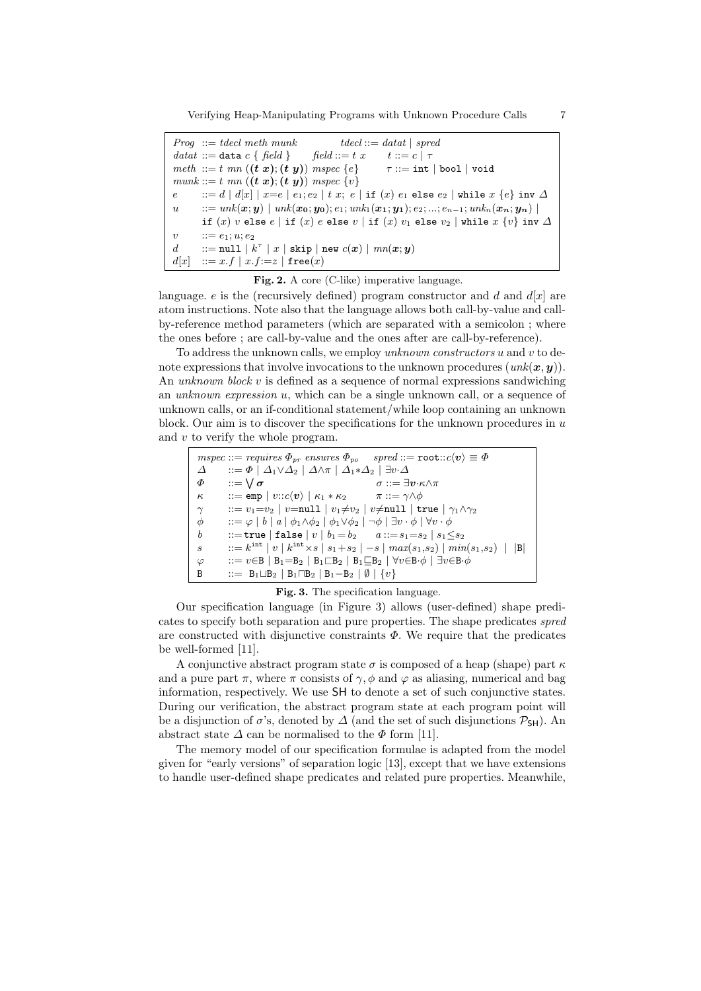Verifying Heap-Manipulating Programs with Unknown Procedure Calls 7

|                                                | $Prog ::= tdecl$ meth munk $tdecl ::= datal \mid spred$                                                                                                                     |  |  |
|------------------------------------------------|-----------------------------------------------------------------------------------------------------------------------------------------------------------------------------|--|--|
|                                                | datat ::= data c { field } field ::= t x t ::= c   $\tau$                                                                                                                   |  |  |
|                                                | meth ::= t mn $((t x); (t y))$ mspec $\{e\}$ $\tau ::= \text{int}   \text{bool}   \text{void}$                                                                              |  |  |
| $munk ::= t \ mn ((t x); (t y)) \ mspec \{v\}$ |                                                                                                                                                                             |  |  |
|                                                | $e$ := $d   d   x     x = e   e_1; e_2   t x; e  $ if $(x) e_1$ else $e_2  $ while $x \{e\}$ inv $\Delta$                                                                   |  |  |
| u                                              | $\therefore = \text{unk}(\bm{x}; \bm{y}) \mid \text{unk}(\bm{x_0}; \bm{y_0}); e_1; \text{unk}_1(\bm{x_1}; \bm{y_1}); e_2; ; e_{n-1}; \text{unk}_n(\bm{x_n}; \bm{y_n}) \mid$ |  |  |
|                                                | if $(x)$ v else $e$   if $(x)$ $e$ else $v$   if $(x)$ $v_1$ else $v_2$   while $x \{v\}$ inv $\Delta$                                                                      |  |  |
| $\boldsymbol{v}$                               | $ ::= e_1; u; e_2$                                                                                                                                                          |  |  |
| $d_{\cdot}$                                    | ::= null $ k^{\tau}  x  $ skip $ $ new $c(x)   mn(x; y)$                                                                                                                    |  |  |
| d[x]                                           | $ ::= x.f \mid x.f := z \mid \text{free}(x)$                                                                                                                                |  |  |

#### Fig. 2. A core (C-like) imperative language.

language. e is the (recursively defined) program constructor and d and  $d[x]$  are atom instructions. Note also that the language allows both call-by-value and callby-reference method parameters (which are separated with a semicolon ; where the ones before ; are call-by-value and the ones after are call-by-reference).

To address the unknown calls, we employ  $unknown\ constructs\ u$  and  $v$  to denote expressions that involve invocations to the unknown procedures  $(unk(x, y))$ . An unknown block  $v$  is defined as a sequence of normal expressions sandwiching an unknown expression u, which can be a single unknown call, or a sequence of unknown calls, or an if-conditional statement/while loop containing an unknown block. Our aim is to discover the specifications for the unknown procedures in  $u$ and  $v$  to verify the whole program.

$$
\begin{array}{ll}\n\text{mspec} ::= \text{requires } \Phi_{pr} \text{ ensures } \Phi_{po} \quad \text{spread} ::= \text{root::c} \langle v \rangle \equiv \Phi \\
\Delta & ::= \Phi \mid \Delta_1 \lor \Delta_2 \mid \Delta \land \pi \mid \Delta_1 * \Delta_2 \mid \exists v \cdot \Delta \\
\Phi & ::= \bigvee \sigma \quad \sigma :: = \exists v \cdot \kappa \land \pi \\
\kappa & ::= \text{emp} \mid v::c \langle v \rangle \mid \kappa_1 * \kappa_2 \quad \pi :: = \gamma \land \phi \\
\gamma & ::= v_1 = v_2 \mid v = \text{null} \mid v_1 \neq v_2 \mid v \neq \text{null} \mid \text{true} \mid \gamma_1 \land \gamma_2 \\
\phi & ::= \varphi \mid b \mid a \mid \phi_1 \land \phi_2 \mid \phi_1 \lor \phi_2 \mid \neg \phi \mid \exists v \cdot \phi \mid \forall v \cdot \phi \\
b & ::= \text{true} \mid \text{false} \mid v \mid b_1 = b_2 \quad a ::= s_1 = s_2 \mid s_1 \leq s_2 \\
s & ::= k^{\text{int}} \mid v \mid k^{\text{int}} \times s \mid s_1 + s_2 \mid -s \mid \max(s_1, s_2) \mid \min(s_1, s_2) \mid \text{B} \mid \\
\varphi & ::= v \in \text{B} \mid \text{B}_1 = \text{B}_2 \mid \text{B}_1 \sqsubset \text{B}_2 \mid \text{B}_1 \sqsubset \text{B}_2 \mid \forall v \in \text{B} \cdot \phi \mid \exists v \in \text{B} \cdot \phi \\
\text{B} & ::= \text{B}_1 \sqcup \text{B}_2 \mid \text{B}_1 \sqcap \text{B}_2 \mid \text{B}_1 - \text{B}_2 \mid \emptyset \mid \{v\} \n\end{array}
$$

## Fig. 3. The specification language.

Our specification language (in Figure 3) allows (user-defined) shape predicates to specify both separation and pure properties. The shape predicates spred are constructed with disjunctive constraints  $\Phi$ . We require that the predicates be well-formed [11].

A conjunctive abstract program state  $\sigma$  is composed of a heap (shape) part  $\kappa$ and a pure part  $\pi$ , where  $\pi$  consists of  $\gamma$ ,  $\phi$  and  $\varphi$  as aliasing, numerical and bag information, respectively. We use SH to denote a set of such conjunctive states. During our verification, the abstract program state at each program point will be a disjunction of  $\sigma$ 's, denoted by  $\Delta$  (and the set of such disjunctions  $\mathcal{P}_{\text{SH}}$ ). An abstract state  $\Delta$  can be normalised to the  $\Phi$  form [11].

The memory model of our specification formulae is adapted from the model given for "early versions" of separation logic [13], except that we have extensions to handle user-defined shape predicates and related pure properties. Meanwhile,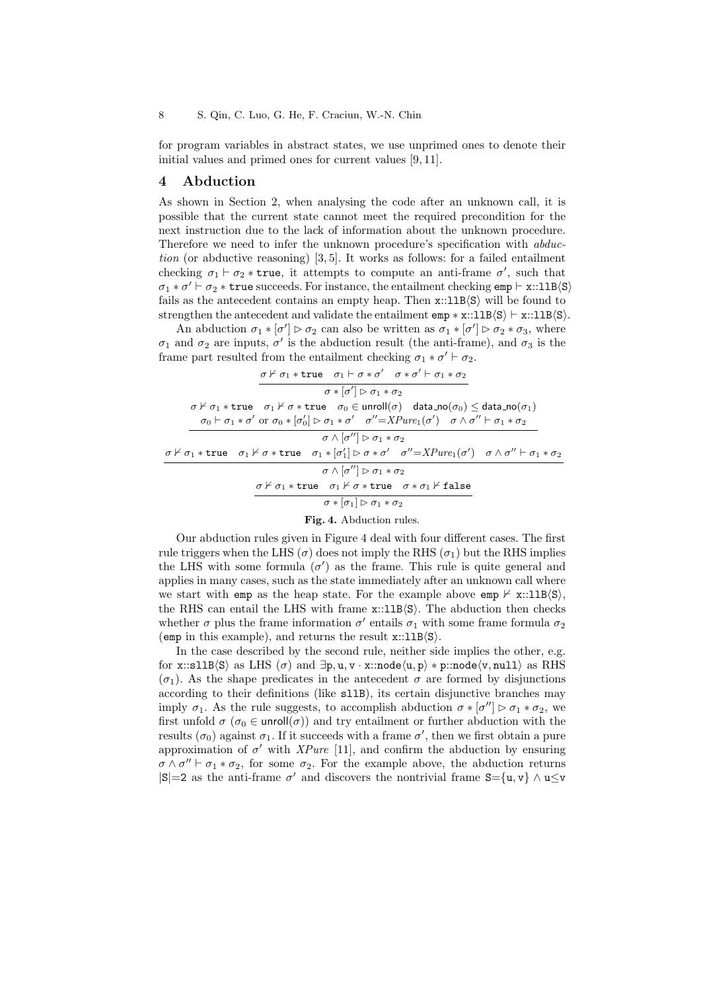for program variables in abstract states, we use unprimed ones to denote their initial values and primed ones for current values [9, 11].

#### 4 Abduction

As shown in Section 2, when analysing the code after an unknown call, it is possible that the current state cannot meet the required precondition for the next instruction due to the lack of information about the unknown procedure. Therefore we need to infer the unknown procedure's specification with abduction (or abductive reasoning) [3, 5]. It works as follows: for a failed entailment checking  $\sigma_1 \vdash \sigma_2 * \text{true}$ , it attempts to compute an anti-frame  $\sigma'$ , such that  $\sigma_1 * \sigma' \vdash \sigma_2 * \texttt{true}$  succeeds. For instance, the entailment checking  $\texttt{emp} \vdash \texttt{x::llB} \langle S \rangle$ fails as the antecedent contains an empty heap. Then  $x::11B\langle S \rangle$  will be found to strengthen the antecedent and validate the entailment  $emp * x::llB\langle S \rangle \vdash x::llB\langle S \rangle$ .

An abduction  $\sigma_1 * [\sigma'] \triangleright \sigma_2$  can also be written as  $\sigma_1 * [\sigma'] \triangleright \sigma_2 * \sigma_3$ , where  $\sigma_1$  and  $\sigma_2$  are inputs,  $\sigma'$  is the abduction result (the anti-frame), and  $\sigma_3$  is the frame part resulted from the entailment checking  $\sigma_1 * \sigma' \vdash \sigma_2$ .

$$
\sigma \nvdash \sigma_1 * \text{true} \quad \sigma_1 \vdash \sigma * \sigma' \quad \sigma * \sigma' \vdash \sigma_1 * \sigma_2
$$
\n
$$
\sigma * [\sigma'] \rhd \sigma_1 * \sigma_2
$$
\n
$$
\sigma \nvdash \sigma_1 * \text{true} \quad \sigma_1 \nvdash \sigma * \text{true} \quad \sigma_0 \in \text{unroll}(\sigma) \quad \text{data} \ldots \sigma(\sigma_0) \leq \text{data} \ldots \sigma(\sigma_1)
$$
\n
$$
\sigma_0 \vdash \sigma_1 * \sigma' \text{ or } \sigma_0 * [\sigma'_0] \rhd \sigma_1 * \sigma' \quad \sigma'' = XPure_1(\sigma') \quad \sigma \wedge \sigma'' \vdash \sigma_1 * \sigma_2
$$
\n
$$
\sigma \wedge [\sigma''] \rhd \sigma_1 * \sigma_2
$$
\n
$$
\sigma \wedge [\sigma''] \rhd \sigma_1 * \sigma' \quad \sigma'' = XPure_1(\sigma') \quad \sigma \wedge \sigma'' \vdash \sigma_1 * \sigma_2
$$
\n
$$
\sigma \wedge [\sigma''] \rhd \sigma_1 * \sigma_2
$$
\n
$$
\sigma \wedge [\sigma''] \rhd \sigma_1 * \text{true} \quad \sigma * \sigma_1 \nvdash \text{false}
$$
\n
$$
\sigma * [\sigma_1] \rhd \sigma_1 * \sigma_2
$$

## Fig. 4. Abduction rules.

Our abduction rules given in Figure 4 deal with four different cases. The first rule triggers when the LHS ( $\sigma$ ) does not imply the RHS ( $\sigma_1$ ) but the RHS implies the LHS with some formula  $(\sigma')$  as the frame. This rule is quite general and applies in many cases, such as the state immediately after an unknown call where we start with emp as the heap state. For the example above emp  $\nvdash$  x::llB $\langle S \rangle$ , the RHS can entail the LHS with frame  $x::l1B\langle S\rangle$ . The abduction then checks whether  $\sigma$  plus the frame information  $\sigma'$  entails  $\sigma_1$  with some frame formula  $\sigma_2$ (emp in this example), and returns the result  $x::11B\langle S\rangle$ .

In the case described by the second rule, neither side implies the other, e.g. for x::sllB $\langle S \rangle$  as LHS  $(\sigma)$  and  $\exists p, u, v \cdot x: \text{node}\langle u, p \rangle * p: \text{node}\langle v, \text{null} \rangle$  as RHS  $(\sigma_1)$ . As the shape predicates in the antecedent  $\sigma$  are formed by disjunctions according to their definitions (like sllB), its certain disjunctive branches may imply  $\sigma_1$ . As the rule suggests, to accomplish abduction  $\sigma * [\sigma''] \triangleright \sigma_1 * \sigma_2$ , we first unfold  $\sigma$  ( $\sigma_0 \in \text{unroll}(\sigma)$ ) and try entailment or further abduction with the results  $(\sigma_0)$  against  $\sigma_1$ . If it succeeds with a frame  $\sigma'$ , then we first obtain a pure approximation of  $\sigma'$  with *XPure* [11], and confirm the abduction by ensuring  $\sigma \wedge \sigma'' \vdash \sigma_1 * \sigma_2$ , for some  $\sigma_2$ . For the example above, the abduction returns  $|S|=2$  as the anti-frame  $\sigma'$  and discovers the nontrivial frame  $S=\{u, v\} \wedge u \leq v$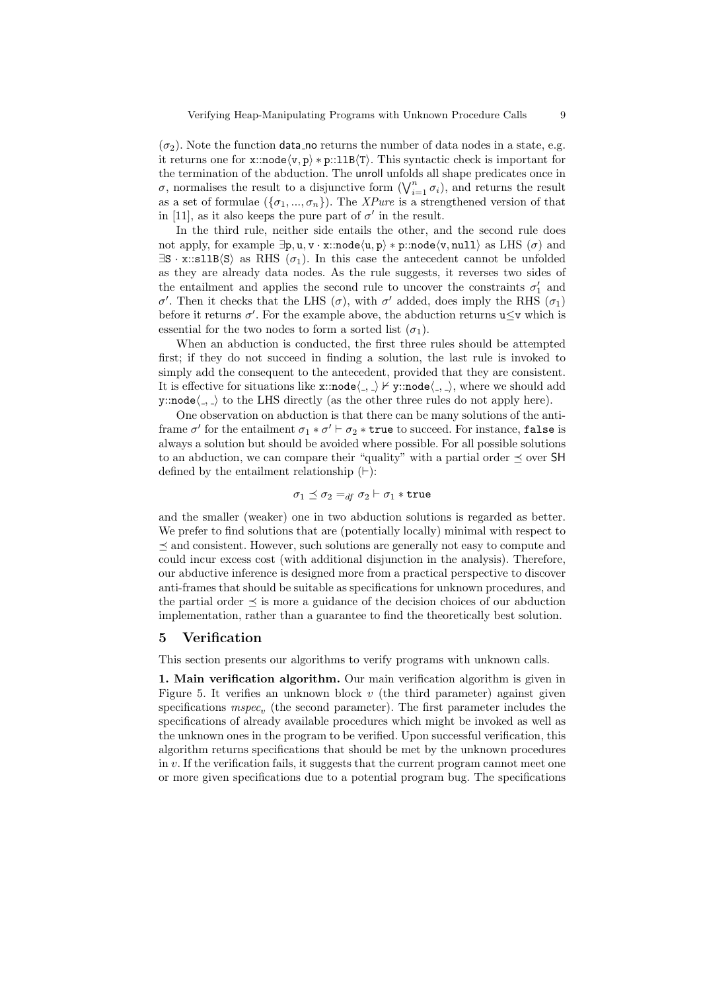$(\sigma_2)$ . Note the function data no returns the number of data nodes in a state, e.g. it returns one for x::node $\langle v, p \rangle * p$ ::11B $\langle T \rangle$ . This syntactic check is important for the termination of the abduction. The unroll unfolds all shape predicates once in  $\sigma$ , normalises the result to a disjunctive form  $(\bigvee_{i=1}^{n} \sigma_i)$ , and returns the result as a set of formulae  $({\{\sigma_1,...,\sigma_n\}})$ . The *XPure* is a strengthened version of that in [11], as it also keeps the pure part of  $\sigma'$  in the result.

In the third rule, neither side entails the other, and the second rule does not apply, for example  $\exists p, u, v \cdot x : \text{node}\langle u, p \rangle * p : \text{node}\langle v, \text{null} \rangle$  as LHS  $(\sigma)$  and  $\exists S \cdot x::s11B\langle S \rangle$  as RHS ( $\sigma_1$ ). In this case the antecedent cannot be unfolded as they are already data nodes. As the rule suggests, it reverses two sides of the entailment and applies the second rule to uncover the constraints  $\sigma'_1$  and σ'. Then it checks that the LHS (σ), with σ' added, does imply the RHS ( $\sigma$ <sub>1</sub>) before it returns  $\sigma'$ . For the example above, the abduction returns  $u \leq v$  which is essential for the two nodes to form a sorted list  $(\sigma_1)$ .

When an abduction is conducted, the first three rules should be attempted first; if they do not succeed in finding a solution, the last rule is invoked to simply add the consequent to the antecedent, provided that they are consistent. It is effective for situations like x::node $\langle \cdot, \cdot \rangle \nvdash y$ ::node $\langle \cdot, \cdot \rangle$ , where we should add y::node $\langle \_, \_\rangle$  to the LHS directly (as the other three rules do not apply here).

One observation on abduction is that there can be many solutions of the antiframe  $\sigma'$  for the entailment  $\sigma_1 * \sigma' \vdash \sigma_2 * \texttt{true}$  to succeed. For instance, false is always a solution but should be avoided where possible. For all possible solutions to an abduction, we can compare their "quality" with a partial order  $\preceq$  over SH defined by the entailment relationship  $(\vdash)$ :

$$
\sigma_1 \preceq \sigma_2 =_{df} \sigma_2 \vdash \sigma_1 * \mathtt{true}
$$

and the smaller (weaker) one in two abduction solutions is regarded as better. We prefer to find solutions that are (potentially locally) minimal with respect to  $\preceq$  and consistent. However, such solutions are generally not easy to compute and could incur excess cost (with additional disjunction in the analysis). Therefore, our abductive inference is designed more from a practical perspective to discover anti-frames that should be suitable as specifications for unknown procedures, and the partial order  $\preceq$  is more a guidance of the decision choices of our abduction implementation, rather than a guarantee to find the theoretically best solution.

## 5 Verification

This section presents our algorithms to verify programs with unknown calls.

1. Main verification algorithm. Our main verification algorithm is given in Figure 5. It verifies an unknown block  $v$  (the third parameter) against given specifications  $mspec_v$  (the second parameter). The first parameter includes the specifications of already available procedures which might be invoked as well as the unknown ones in the program to be verified. Upon successful verification, this algorithm returns specifications that should be met by the unknown procedures in v. If the verification fails, it suggests that the current program cannot meet one or more given specifications due to a potential program bug. The specifications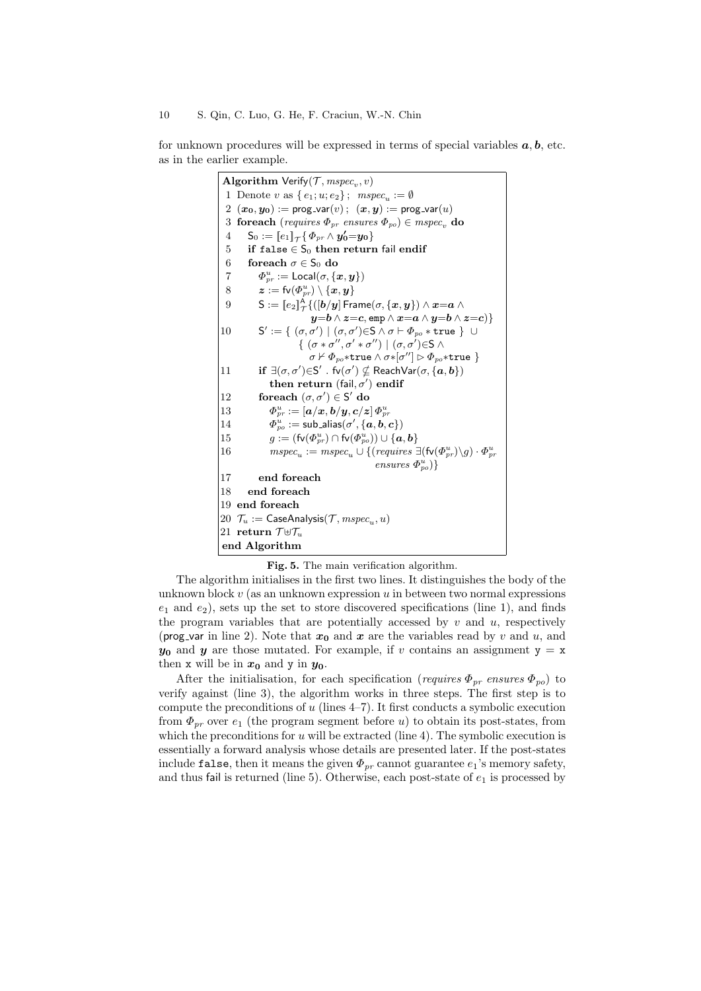for unknown procedures will be expressed in terms of special variables  $a, b$ , etc. as in the earlier example.

> Algorithm Verify $(\mathcal{T}, \textit{mspec}_v, v)$ 1 Denote v as  $\{e_1; u; e_2\}$ ;  $mspec_u := \emptyset$ 2  $(x_0, y_0) := \text{prog-var}(v)$ ;  $(x, y) := \text{prog-var}(u)$ 3 foreach (requires  $\Phi_{pr}$  ensures  $\Phi_{po}$ )  $\in$  mspec<sub>v</sub> do 4  $S_0 := [e_1]_{\mathcal{T}} \{ \Phi_{pr} \wedge \mathbf{y_0'} = \mathbf{y_0} \}$ 5 if false  $\in$  S<sub>0</sub> then return fail endif 6 foreach  $\sigma \in S_0$  do 7  $\Phi^u_{pr} := \mathsf{Local}(\sigma, \{\bm{x},\bm{y}\})$  $8 \qquad \boldsymbol{z} := \mathsf{fv}(\varPhi_{pr}^u) \setminus \{\boldsymbol{x}, \boldsymbol{y}\}$  $9 \qquad \quad \mathsf{S} := \llbracket e_2 \rrbracket_{\mathcal{T}}^{\mathsf{A}} \{ ([\boldsymbol{b}/\boldsymbol{y}]\,\mathsf{Frame}(\sigma, \{\boldsymbol{x},\boldsymbol{y}\}) \wedge \boldsymbol{x} {=} \boldsymbol{a} \ \wedge$  $y=b\wedge z=c,$  emp  $\wedge x=a\wedge y=b\wedge z=c)\}$  $10$  $\mathcal{O}' := \{ (\sigma, \sigma') | (\sigma, \sigma') \in S \land \sigma \vdash \Phi_{po} * \text{true } \}$  ∪  $\{ (\sigma * \sigma'', \sigma' * \sigma'') | (\sigma, \sigma') \in S \land$  $\sigma\nvdash \Phi_{po}*{\tt true} \land \sigma*[\sigma''] \rhd \Phi_{po}*{\tt true} \ \}$ 11 if  $\exists (σ, σ') ∈ S'$ . fv $(σ') ∉$  ReachVar $(σ, {a, b})$ then return (fail,  $\sigma'$ ) endif 12 foreach  $(\sigma, \sigma') \in S'$  do  $13$  $u_{pr}^u := \left[\bm{a}/\bm{x}, \bm{b}/\bm{y}, \bm{c}/\bm{z}\right]\Phi_{pr}^u$  $14$  $u^u_{po} := \mathsf{sub}\_ \mathsf{alias}(\sigma', \{\bm{a},\bm{b},\bm{c}\})$ 15  $g := (\mathsf{fv}(\Phi_{pr}^u) \cap \mathsf{fv}(\Phi_{po}^u)) \cup \{\boldsymbol{a}, \boldsymbol{b}\}\$ 16  $mspec_u := mspec_u \cup \{(requires \exists (\mathsf{fv}(\Phi_{pr}^u)\backslash g) \cdot \Phi_{pr}^u\})$  $ensures \Phi_{po}^u$ } 17 end foreach 18 end foreach 19 end foreach 20  $\mathcal{T}_u := \mathsf{CaseAnalysis}(\mathcal{T}, \mathit{mspec}_u, u)$  $|21\>$ return  $\mathcal{T} \uplus \mathcal{T}_u$ end Algorithm

#### Fig. 5. The main verification algorithm.

The algorithm initialises in the first two lines. It distinguishes the body of the unknown block  $v$  (as an unknown expression  $u$  in between two normal expressions  $e_1$  and  $e_2$ ), sets up the set to store discovered specifications (line 1), and finds the program variables that are potentially accessed by  $v$  and  $u$ , respectively (prog var in line 2). Note that  $x_0$  and  $x$  are the variables read by v and u, and  $y_0$  and y are those mutated. For example, if v contains an assignment  $y = x$ then x will be in  $x_0$  and y in  $y_0$ .

After the initialisation, for each specification (requires  $\Phi_{pr}$  ensures  $\Phi_{po}$ ) to verify against (line 3), the algorithm works in three steps. The first step is to compute the preconditions of  $u$  (lines  $4-7$ ). It first conducts a symbolic execution from  $\Phi_{nr}$  over  $e_1$  (the program segment before u) to obtain its post-states, from which the preconditions for  $u$  will be extracted (line 4). The symbolic execution is essentially a forward analysis whose details are presented later. If the post-states include false, then it means the given  $\Phi_{pr}$  cannot guarantee  $e_1$ 's memory safety, and thus fail is returned (line 5). Otherwise, each post-state of  $e_1$  is processed by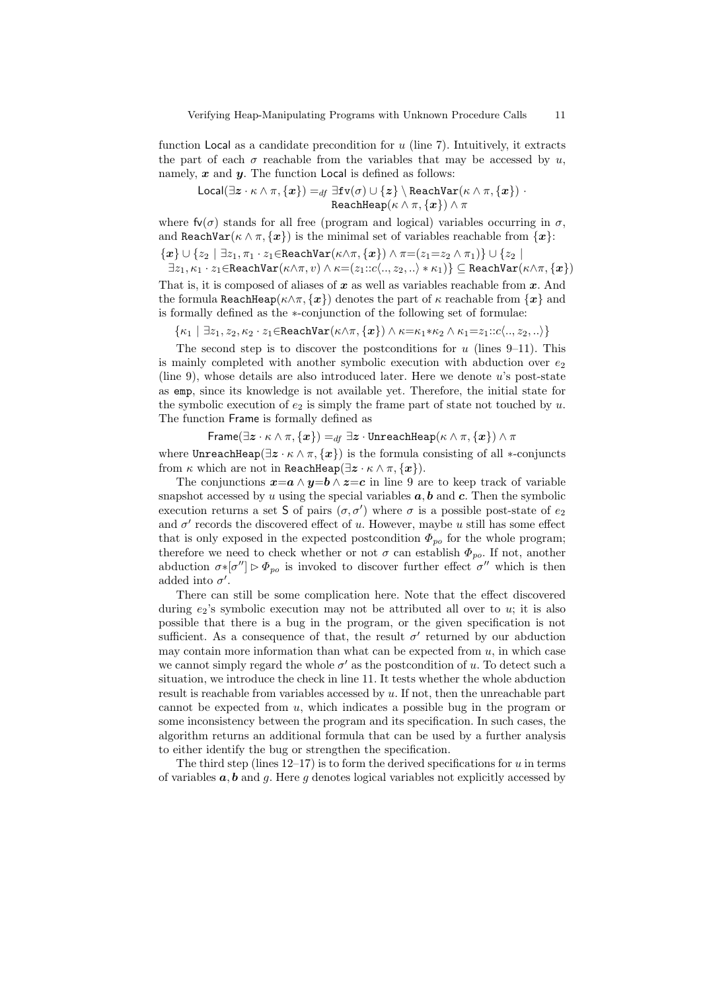function Local as a candidate precondition for  $u$  (line 7). Intuitively, it extracts the part of each  $\sigma$  reachable from the variables that may be accessed by u, namely,  $x$  and  $y$ . The function Local is defined as follows:

$$
\textsf{Local}(\exists \bm{z}\cdot \kappa \wedge \pi, \{\bm{x}\}) =_{df} \exists \texttt{fv}(\sigma) \cup \{\bm{z}\} \setminus \textsf{ReachVar}(\kappa \wedge \pi, \{\bm{x}\}) \cdot \textsf{ReachHeap}(\kappa \wedge \pi, \{\bm{x}\}) \wedge \pi
$$

where  $f\nu(\sigma)$  stands for all free (program and logical) variables occurring in  $\sigma$ , and ReachVar( $\kappa \wedge \pi$ , {x}) is the minimal set of variables reachable from {x}:

$$
\{\boldsymbol{x}\} \cup \{z_2 \mid \exists z_1, \pi_1 \cdot z_1 \in \texttt{ReachVar}(\kappa \wedge \pi, \{\boldsymbol{x}\}) \wedge \pi = (z_1 = z_2 \wedge \pi_1)\} \cup \{z_2 \mid
$$

 $\exists z_1, \kappa_1 \cdot z_1 \in \texttt{ReachVar}(\kappa \wedge \pi, v) \wedge \kappa = (z_1 :: c\langle .., z_2, .. \rangle * \kappa_1)\} \subseteq \texttt{ReachVar}(\kappa \wedge \pi, \{x\})$ That is, it is composed of aliases of x as well as variables reachable from  $x$ . And the formula ReachHeap( $\kappa \wedge \pi$ ,  $\{x\}$ ) denotes the part of  $\kappa$  reachable from  $\{x\}$  and is formally defined as the ∗-conjunction of the following set of formulae:

 $\{\kappa_1 \mid \exists z_1, z_2, \kappa_2 \cdot z_1 \in \text{ReachVar}(\kappa \wedge \pi, \{\bm{x}\}) \wedge \kappa = \kappa_1 * \kappa_2 \wedge \kappa_1 = z_1 :: c \langle \ldots, z_2, \ldots \rangle\}$ 

The second step is to discover the postconditions for  $u$  (lines 9–11). This is mainly completed with another symbolic execution with abduction over  $e_2$ (line 9), whose details are also introduced later. Here we denote u's post-state as emp, since its knowledge is not available yet. Therefore, the initial state for the symbolic execution of  $e_2$  is simply the frame part of state not touched by u. The function Frame is formally defined as

Frame( $\exists z \cdot \kappa \wedge \pi$ ,  $\{x\}$ ) =  $_{df} \exists z \cdot$  UnreachHeap( $\kappa \wedge \pi$ ,  $\{x\}$ )  $\wedge \pi$ 

where UnreachHeap( $\exists z \cdot \kappa \wedge \pi$ ,  $\{x\}$ ) is the formula consisting of all \*-conjuncts from  $\kappa$  which are not in ReachHeap( $\exists z \cdot \kappa \wedge \pi$ ,  $\{x\}$ ).

The conjunctions  $x=a \wedge y=b \wedge z=c$  in line 9 are to keep track of variable snapshot accessed by u using the special variables  $a, b$  and c. Then the symbolic execution returns a set S of pairs  $(\sigma, \sigma')$  where  $\sigma$  is a possible post-state of  $e_2$ and  $\sigma'$  records the discovered effect of u. However, maybe u still has some effect that is only exposed in the expected postcondition  $\Phi_{po}$  for the whole program; therefore we need to check whether or not  $\sigma$  can establish  $\Phi_{po}$ . If not, another abduction  $\sigma * [\sigma''] \triangleright \Phi_{po}$  is invoked to discover further effect  $\sigma''$  which is then added into  $\sigma'$ .

There can still be some complication here. Note that the effect discovered during  $e_2$ 's symbolic execution may not be attributed all over to u; it is also possible that there is a bug in the program, or the given specification is not sufficient. As a consequence of that, the result  $\sigma'$  returned by our abduction may contain more information than what can be expected from  $u$ , in which case we cannot simply regard the whole  $\sigma'$  as the postcondition of u. To detect such a situation, we introduce the check in line 11. It tests whether the whole abduction result is reachable from variables accessed by  $u$ . If not, then the unreachable part cannot be expected from  $u$ , which indicates a possible bug in the program or some inconsistency between the program and its specification. In such cases, the algorithm returns an additional formula that can be used by a further analysis to either identify the bug or strengthen the specification.

The third step (lines  $12-17$ ) is to form the derived specifications for u in terms of variables  $a, b$  and  $g$ . Here  $g$  denotes logical variables not explicitly accessed by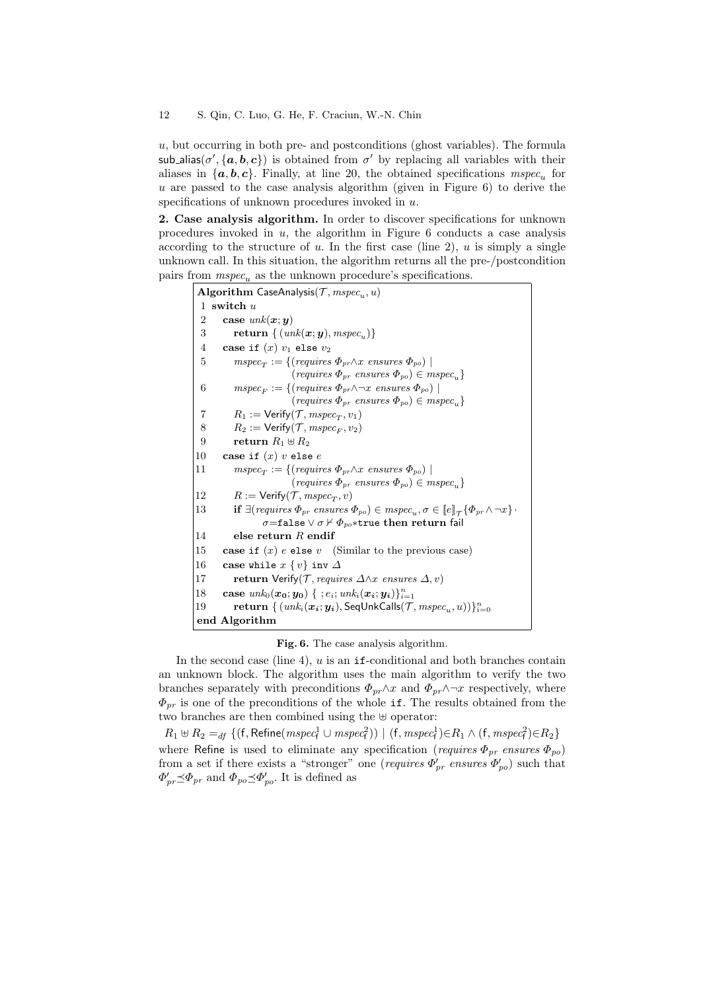$u$ , but occurring in both pre- and postconditions (ghost variables). The formula sub\_alias( $\sigma'$ , { $a, b, c$ }) is obtained from  $\sigma'$  by replacing all variables with their aliases in  $\{a, b, c\}$ . Finally, at line 20, the obtained specifications  $\mathit{mspec}_{u}$  for u are passed to the case analysis algorithm (given in Figure  $6$ ) to derive the specifications of unknown procedures invoked in  $u$ .

2. Case analysis algorithm. In order to discover specifications for unknown procedures invoked in  $u$ , the algorithm in Figure 6 conducts a case analysis according to the structure of u. In the first case (line 2), u is simply a single unknown call. In this situation, the algorithm returns all the pre-/postcondition pairs from  $mspec_u$  as the unknown procedure's specifications.

```
Algorithm CaseAnalysis(\mathcal{T}, \mathit{mspec}_u, u)1 switch u
 2 case unk(x; y)3 \qquad \textbf{return} \; \{ \left(\textit{unk}(\bm{x}; \bm{y}), \textit{mspec}_u) \right\}4 case if (x) v_1 else v_25 mspec<sub>T</sub> := {(requires \Phi_{pr} \wedge x ensures \Phi_{po}) |
                            (requires \Phi_{pr} ensures \Phi_{po}) \in mspec_u\}6 mspec<sub>F</sub> := {(requires \Phi_{pr} \wedge \neg x ensures \Phi_{po}) |
                            (requires \Phi_{pr} ensures \Phi_{po}) \in mspec_u\}7 R_1 := \text{Verify}(\mathcal{T}, \textit{mspec}_T, v_1)8 R_2 := \text{Verify}(\mathcal{T}, \text{mspec}_F, v_2)9 return R_1 \oplus R_210 case if (x) v else e11 mspec<sub>T</sub> := {(requires \Phi_{pr} \wedge x ensures \Phi_{po}) |
                            (requires \Phi_{pr} ensures \Phi_{po}) \in mspec_u\}12 R := \text{Verify}(\mathcal{T}, \text{mspec}_T, v)13 if \exists (requires \Phi_{pr} ensures \Phi_{po}) \in mspec_u, \sigma \in [e]_{\mathcal{T}} {\{\Phi_{pr} \wedge \neg x\}}σ=false \lor σ\nvdash Φ_{po} *true then return fail
14 else return R endif
15 case if (x) e else v (Similar to the previous case)
16 case while x \{ v \} inv \Delta17 return Verify(T, requires \Delta \wedge x ensures \Delta, v)
18 case unk_0(x_0; y_0) \{ ; e_i; unk_i(x_i; y_i) \}_{i=1}^n19 return \{ (unk_i(\boldsymbol{x_i};\boldsymbol{y_i}), \textsf{SeqUnkCalls}(\mathcal{T}, \textit{mspec}_u, u)) \}_{i=0}^nend Algorithm
```
Fig. 6. The case analysis algorithm.

In the second case (line 4),  $u$  is an if-conditional and both branches contain an unknown block. The algorithm uses the main algorithm to verify the two branches separately with preconditions  $\Phi_{pr} \wedge x$  and  $\Phi_{pr} \wedge \neg x$  respectively, where  $\Phi_{nr}$  is one of the preconditions of the whole if. The results obtained from the two branches are then combined using the  $\uplus$  operator:

 $R_1 \uplus R_2 =_{df} \{ (f, \textsf{Refine}(\textit{mspec}^1_f \cup \textit{mspec}^2_f)) \mid (f, \textit{mspec}^1_f) \in R_1 \wedge (f, \textit{mspec}^2_f) \in R_2 \}$ where Refine is used to eliminate any specification (requires  $\Phi_{pr}$  ensures  $\Phi_{po}$ ) from a set if there exists a "stronger" one (*requires*  $\Phi'_{pr}$  ensures  $\Phi'_{po}$ ) such that  $\Phi'_{pr} \preceq \Phi_{pr}$  and  $\Phi_{po} \preceq \Phi'_{po}$ . It is defined as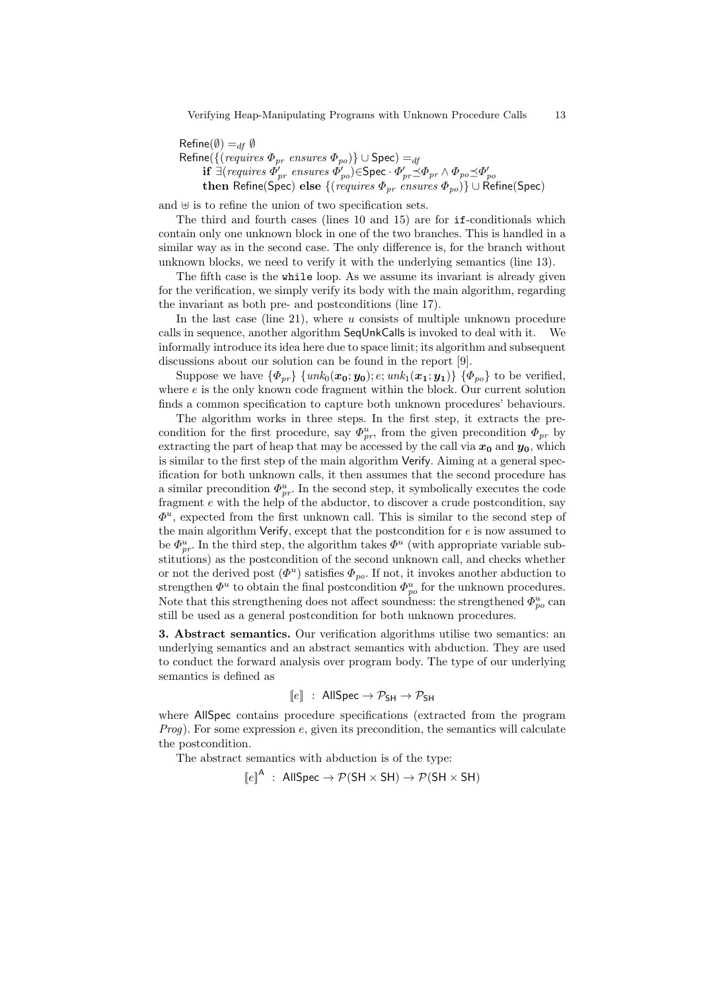Verifying Heap-Manipulating Programs with Unknown Procedure Calls 13

Refine( $\emptyset$ ) = df  $\emptyset$  $\mathsf{Refine}(\{(\textit{requires } \Phi_{pr}\textit{ ensures } \Phi_{po})\} \cup \mathsf{Spec}) =_{df}$ if  $\exists (requires \ \Phi_{pr}'\ ensures \ \Phi_{po}') \in \mathsf{Spec} \cdot \Phi_{pr}' \preceq \Phi_{pr} \wedge \Phi_{po} \preceq \Phi_{po}'$ then Refine(Spec) else  $\{(requires \Phi_{pr} \; ensures \Phi_{po})\} \cup \mathsf{Refine}(Spec)$ 

and  $\uplus$  is to refine the union of two specification sets.

The third and fourth cases (lines 10 and 15) are for if-conditionals which contain only one unknown block in one of the two branches. This is handled in a similar way as in the second case. The only difference is, for the branch without unknown blocks, we need to verify it with the underlying semantics (line 13).

The fifth case is the while loop. As we assume its invariant is already given for the verification, we simply verify its body with the main algorithm, regarding the invariant as both pre- and postconditions (line 17).

In the last case (line 21), where  $u$  consists of multiple unknown procedure calls in sequence, another algorithm SeqUnkCalls is invoked to deal with it. informally introduce its idea here due to space limit; its algorithm and subsequent discussions about our solution can be found in the report [9].

Suppose we have  $\{\Phi_{pr}\}\{unk_0(\boldsymbol{x_0};\boldsymbol{y_0});\boldsymbol{e};unk_1(\boldsymbol{x_1};\boldsymbol{y_1})\}\{\Phi_{po}\}\)$  to be verified, where  $e$  is the only known code fragment within the block. Our current solution finds a common specification to capture both unknown procedures' behaviours.

The algorithm works in three steps. In the first step, it extracts the precondition for the first procedure, say  $\Phi_{pr}^u$ , from the given precondition  $\Phi_{pr}$  by extracting the part of heap that may be accessed by the call via  $x_0$  and  $y_0$ , which is similar to the first step of the main algorithm Verify. Aiming at a general specification for both unknown calls, it then assumes that the second procedure has a similar precondition  $\Phi_{pr}^u$ . In the second step, it symbolically executes the code fragment e with the help of the abductor, to discover a crude postcondition, say  $\Phi^u$ , expected from the first unknown call. This is similar to the second step of the main algorithm Verify, except that the postcondition for e is now assumed to be  $\Phi_{pr}^u$ . In the third step, the algorithm takes  $\Phi^u$  (with appropriate variable substitutions) as the postcondition of the second unknown call, and checks whether or not the derived post  $(\Phi^u)$  satisfies  $\Phi_{po}$ . If not, it invokes another abduction to strengthen  $\Phi^u$  to obtain the final postcondition  $\Phi^u_{po}$  for the unknown procedures. Note that this strengthening does not affect soundness: the strengthened  $\Phi_{po}^u$  can still be used as a general postcondition for both unknown procedures.

3. Abstract semantics. Our verification algorithms utilise two semantics: an underlying semantics and an abstract semantics with abduction. They are used to conduct the forward analysis over program body. The type of our underlying semantics is defined as

$$
[\![e]\!] \; : \; \mathsf{AllSpec} \to \mathcal{P}_{\mathsf{SH}} \to \mathcal{P}_{\mathsf{SH}}
$$

where AllSpec contains procedure specifications (extracted from the program  $Proq$ ). For some expression e, given its precondition, the semantics will calculate the postcondition.

The abstract semantics with abduction is of the type:

$$
[\![e]\!]^{\mathsf{A}}\;:\; \mathsf{AllSpec}\to \mathcal{P}(\mathsf{SH}\times\mathsf{SH})\to \mathcal{P}(\mathsf{SH}\times\mathsf{SH})
$$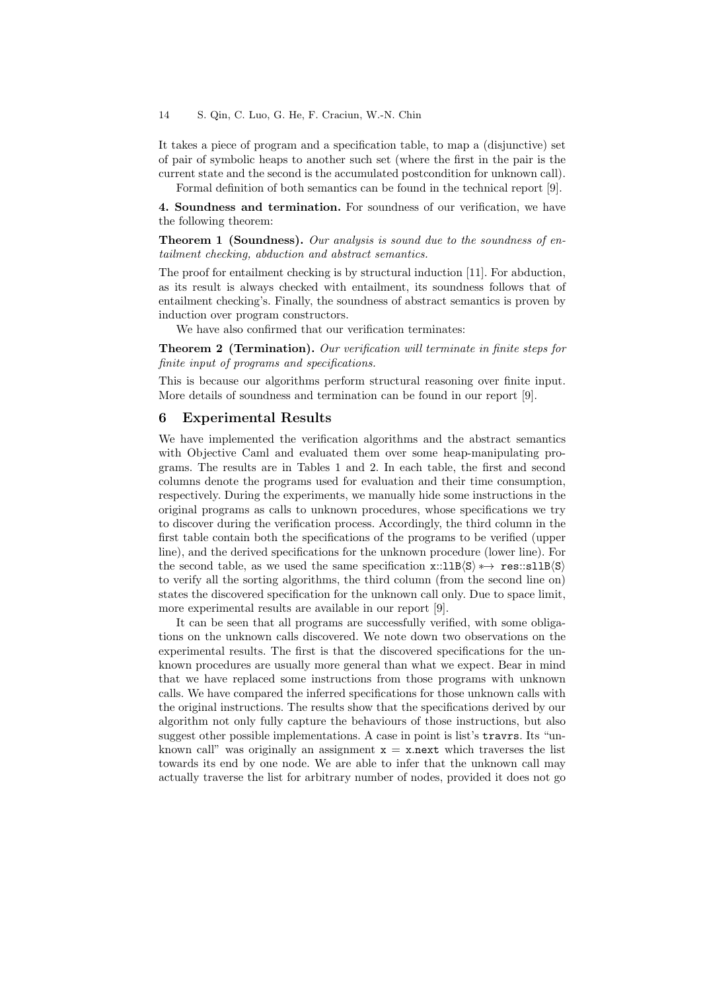It takes a piece of program and a specification table, to map a (disjunctive) set of pair of symbolic heaps to another such set (where the first in the pair is the current state and the second is the accumulated postcondition for unknown call).

Formal definition of both semantics can be found in the technical report [9].

4. Soundness and termination. For soundness of our verification, we have the following theorem:

**Theorem 1 (Soundness).** Our analysis is sound due to the soundness of entailment checking, abduction and abstract semantics.

The proof for entailment checking is by structural induction [11]. For abduction, as its result is always checked with entailment, its soundness follows that of entailment checking's. Finally, the soundness of abstract semantics is proven by induction over program constructors.

We have also confirmed that our verification terminates:

Theorem 2 (Termination). Our verification will terminate in finite steps for finite input of programs and specifications.

This is because our algorithms perform structural reasoning over finite input. More details of soundness and termination can be found in our report [9].

## 6 Experimental Results

We have implemented the verification algorithms and the abstract semantics with Objective Caml and evaluated them over some heap-manipulating programs. The results are in Tables 1 and 2. In each table, the first and second columns denote the programs used for evaluation and their time consumption, respectively. During the experiments, we manually hide some instructions in the original programs as calls to unknown procedures, whose specifications we try to discover during the verification process. Accordingly, the third column in the first table contain both the specifications of the programs to be verified (upper line), and the derived specifications for the unknown procedure (lower line). For the second table, as we used the same specification  $x::llB\langle S \rangle \leftrightarrow res::slB\langle S \rangle$ to verify all the sorting algorithms, the third column (from the second line on) states the discovered specification for the unknown call only. Due to space limit, more experimental results are available in our report [9].

It can be seen that all programs are successfully verified, with some obligations on the unknown calls discovered. We note down two observations on the experimental results. The first is that the discovered specifications for the unknown procedures are usually more general than what we expect. Bear in mind that we have replaced some instructions from those programs with unknown calls. We have compared the inferred specifications for those unknown calls with the original instructions. The results show that the specifications derived by our algorithm not only fully capture the behaviours of those instructions, but also suggest other possible implementations. A case in point is list's travrs. Its "unknown call" was originally an assignment  $x = x$  next which traverses the list towards its end by one node. We are able to infer that the unknown call may actually traverse the list for arbitrary number of nodes, provided it does not go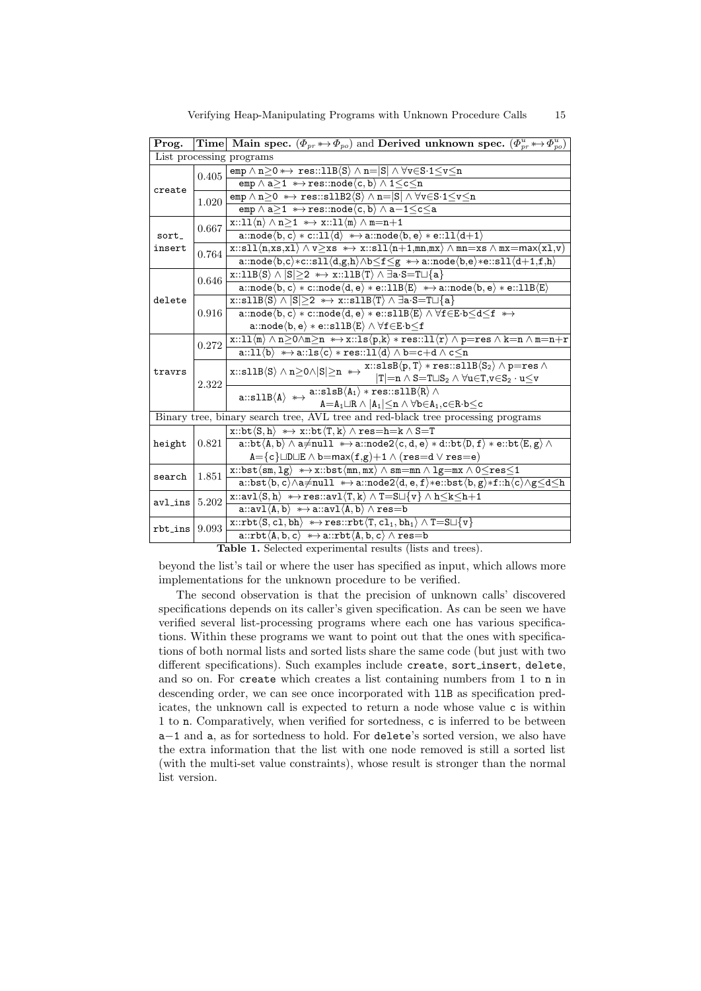| Prog.                                                                            |       | <b>Time</b> Main spec. $(\Phi_{pr} \leftrightarrow \Phi_{po})$ and Derived unknown spec. $(\Phi_{pr}^u \leftrightarrow \Phi_{po}^u)$                                                                                                                                                                                                                                                               |  |  |  |
|----------------------------------------------------------------------------------|-------|----------------------------------------------------------------------------------------------------------------------------------------------------------------------------------------------------------------------------------------------------------------------------------------------------------------------------------------------------------------------------------------------------|--|--|--|
| List processing programs                                                         |       |                                                                                                                                                                                                                                                                                                                                                                                                    |  |  |  |
| create                                                                           | 0.405 | $\texttt{emp} \wedge \texttt{n} {\geq} 0 \! \nrightarrow \ \texttt{res::lll} \langle S \rangle \wedge \texttt{n} {=}  S  \wedge \forall \texttt{v} {\in} S {\cdot} 1 {\leq} \texttt{v} {\leq} \texttt{n}$                                                                                                                                                                                          |  |  |  |
|                                                                                  |       | emp $\land$ a>1 $\leftrightarrow$ res::node $\langle c, b \rangle \land 1 \leq c \leq n$                                                                                                                                                                                                                                                                                                           |  |  |  |
|                                                                                  | 1.020 |                                                                                                                                                                                                                                                                                                                                                                                                    |  |  |  |
|                                                                                  |       | emp $\land$ a $\geq$ 1 $\leftrightarrow$ res::node $\langle$ c, b $\rangle$ $\land$ a-1 $\leq$ c $\leq$ a                                                                                                                                                                                                                                                                                          |  |  |  |
| sort_<br>insert                                                                  | 0.667 | $x::11\langle n\rangle \wedge n\geq 1 \iff x::11\langle m\rangle \wedge m=n+1$                                                                                                                                                                                                                                                                                                                     |  |  |  |
|                                                                                  |       | $a::node\langle b, c \rangle * c::11\langle d \rangle * \rightarrow a::node\langle b, e \rangle * e::11\langle d+1 \rangle$                                                                                                                                                                                                                                                                        |  |  |  |
|                                                                                  | 0.764 | $x::s11(n, xs, x1) \land v \ge xs \leftrightarrow x::s11(n+1, mn, mx) \land mn=xs \land mx=max(x1, v)$                                                                                                                                                                                                                                                                                             |  |  |  |
|                                                                                  |       | $\texttt{a::node}\langle b,c\rangle*\texttt{c::sll}\langle d,g,h\rangle\wedge b{\leq} f{\leq} g \iff \texttt{a::node}\langle b,e\rangle*\texttt{e::sll}\langle d{+}1,f,h\rangle$                                                                                                                                                                                                                   |  |  |  |
|                                                                                  | 0.646 | $x::11B\langle S\rangle \wedge  S \geq 2 \leftrightarrow x::11B\langle T\rangle \wedge \exists a\cdot S=T\sqcup\{a\}$                                                                                                                                                                                                                                                                              |  |  |  |
|                                                                                  |       | $a::node\langle b, c \rangle * c::node\langle d, e \rangle * e::llB\langle E \rangle * \rightarrow a::node\langle b, e \rangle * e::llB\langle E \rangle$                                                                                                                                                                                                                                          |  |  |  |
| delete                                                                           | 0.916 | $x::s11B\langle S\rangle \wedge  S \geq 2 \leftrightarrow x::s11B\langle T\rangle \wedge \exists a\cdot S=T\sqcup\{a\}$                                                                                                                                                                                                                                                                            |  |  |  |
|                                                                                  |       | $\texttt{a::node}\langle b,c\rangle * \overline{\texttt{c::node}\langle d,e\rangle * \texttt{e::sllB}\langle E\rangle \wedge \forall f\overline{\in}E\cdot b\leq d\leq f} \ \ \textcolor{red}{\ast\!\!\!\rightarrow}$                                                                                                                                                                              |  |  |  |
|                                                                                  |       | $a::node\langle b, e \rangle * e::sllB\langle E \rangle \wedge \forall f \in E \cdot b \leq f$                                                                                                                                                                                                                                                                                                     |  |  |  |
|                                                                                  | 0.272 | $\texttt{x::ll1} \langle \texttt{m} \rangle \land \texttt{n} \geq \texttt{0} \land \texttt{m} \geq \texttt{n} \iff \texttt{x::ls} \langle \texttt{p}, \texttt{k} \rangle \ast \texttt{res::ll1} \langle \texttt{r} \rangle \land \texttt{p=res} \land \texttt{k=n} \land \texttt{m=n+r}$                                                                                                           |  |  |  |
|                                                                                  |       | $a::11\langle b\rangle \leftrightarrow a::1s\langle c\rangle * res::11\langle d\rangle \wedge b=c+d\wedge c\leq n$                                                                                                                                                                                                                                                                                 |  |  |  |
| travrs                                                                           | 2.322 | $\text{x::sllB}\langle S \rangle \land n \geq 0 \land  S  \geq n \iff \text{x::slsB}\langle p, T \rangle * \text{res::sllB}\langle S_2 \rangle \land p = \text{res} \land \\  T  = n \land S = T \sqcup S_2 \land \forall u \in T, v \in S_2 \cdot u \leq v$                                                                                                                                       |  |  |  |
|                                                                                  |       |                                                                                                                                                                                                                                                                                                                                                                                                    |  |  |  |
|                                                                                  |       | $\overline{\text{a::sllB}\langle\texttt{A}\rangle\ \overset{}{\ast\!\!\rightarrow\!\!\!\!\rightarrow} \frac{\text{a::slsB}\langle\texttt{A}_1\rangle\ast\text{res::sllB}\langle\texttt{R}\rangle\wedge}{\texttt{A}=\texttt{A}_1\sqcup\texttt{R}\wedge \texttt{A}_1 \!\leq\!\texttt{n}\wedge\forall\texttt{b}\!\in\!\texttt{A}_1,\texttt{c}\!\in\!\texttt{R}\!\cdot\!\texttt{b}\!\leq\!\texttt{c}}$ |  |  |  |
|                                                                                  |       |                                                                                                                                                                                                                                                                                                                                                                                                    |  |  |  |
| Binary tree, binary search tree, AVL tree and red-black tree processing programs |       |                                                                                                                                                                                                                                                                                                                                                                                                    |  |  |  |
|                                                                                  | 0.821 | $x::bt\langle S,h\rangle \iff x::bt\langle T,k\rangle \land res=h=k\land S=T$                                                                                                                                                                                                                                                                                                                      |  |  |  |
| height                                                                           |       | $\overline{a::bt\langle A,b\rangle\wedge a{\neq}null\iff}a::node2\langle c,d,e\rangle\ast d::bt\langle D,f\rangle\ast e::bt\langle E,g\rangle\wedge$                                                                                                                                                                                                                                               |  |  |  |
|                                                                                  |       | $A = {c}$ LDLE $\wedge$ b=max $(f,g) + 1 \wedge (res = d \vee res = e)$                                                                                                                                                                                                                                                                                                                            |  |  |  |
| search                                                                           | 1.851 | x::bst $\langle$ sm, 1g $\rangle$ $\leftrightarrow$ x::bst $\langle$ mn, mx $\rangle$ $\land$ sm=mn $\land$ 1g=mx $\land$ 0 $\le$ res $\le$ 1                                                                                                                                                                                                                                                      |  |  |  |
|                                                                                  |       | $a::bst\langle b, c \rangle \land a \neq null$ $\leftrightarrow a::node2\langle d, e, f \rangle * e::bst\langle b, g \rangle * f::h\langle c \rangle \land g \leq d \leq h$                                                                                                                                                                                                                        |  |  |  |
| $av1_{\text{ins}}$                                                               | 5.202 | x::avl $\langle S, h \rangle \leftrightarrow res:$ :avl $\langle T, k \rangle \wedge T = S \sqcup \{v\} \wedge h \leq k \leq h+1$                                                                                                                                                                                                                                                                  |  |  |  |
|                                                                                  |       | $a::av1\langle A, b \rangle \leftrightarrow a::av1\langle A, b \rangle \wedge res=b$                                                                                                                                                                                                                                                                                                               |  |  |  |
| $rbt_{\text{ins}}$                                                               | 9.093 | $x::rbt\langle S, c1, bh \rangle \leftrightarrow res::rbt\langle T, c1_1, bh_1 \rangle \wedge T = S \sqcup \{v\}$                                                                                                                                                                                                                                                                                  |  |  |  |
|                                                                                  |       | $a::rbt \langle A, b, c \rangle \leftrightarrow a::rbt \langle A, b, c \rangle \wedge res=b$                                                                                                                                                                                                                                                                                                       |  |  |  |

Table 1. Selected experimental results (lists and trees).

beyond the list's tail or where the user has specified as input, which allows more implementations for the unknown procedure to be verified.

The second observation is that the precision of unknown calls' discovered specifications depends on its caller's given specification. As can be seen we have verified several list-processing programs where each one has various specifications. Within these programs we want to point out that the ones with specifications of both normal lists and sorted lists share the same code (but just with two different specifications). Such examples include create, sort\_insert, delete, and so on. For create which creates a list containing numbers from 1 to n in descending order, we can see once incorporated with llB as specification predicates, the unknown call is expected to return a node whose value c is within 1 to n. Comparatively, when verified for sortedness, c is inferred to be between a−1 and a, as for sortedness to hold. For delete's sorted version, we also have the extra information that the list with one node removed is still a sorted list (with the multi-set value constraints), whose result is stronger than the normal list version.